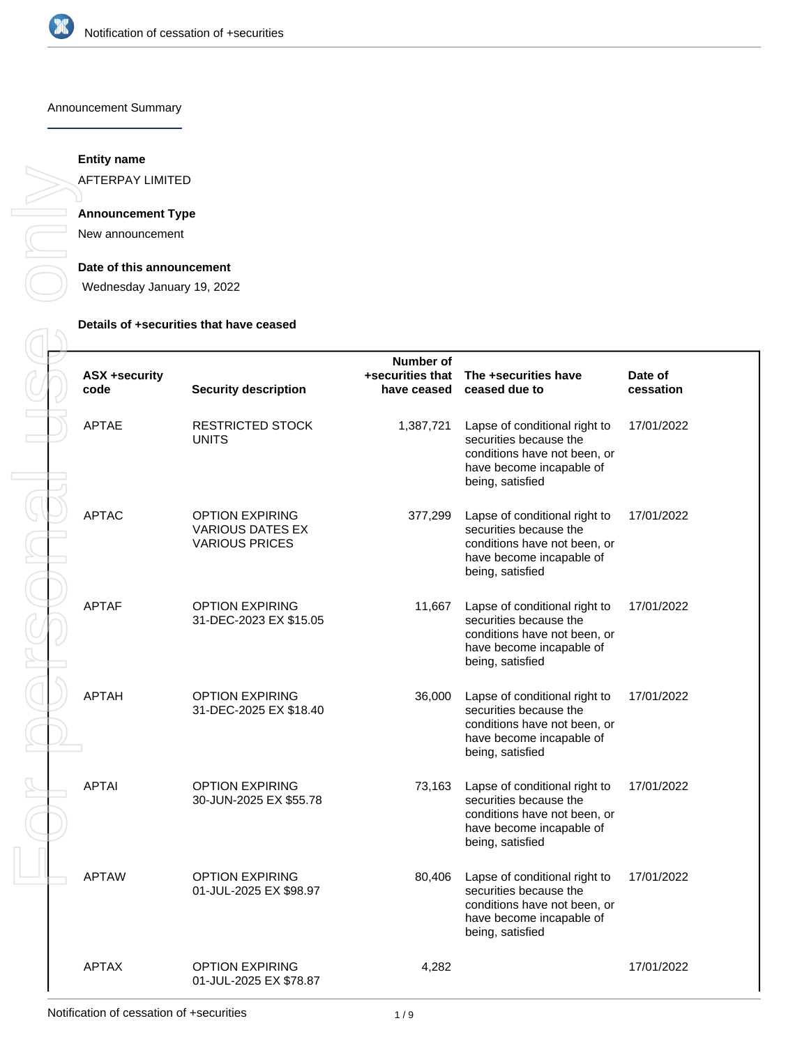

### Announcement Summary

## **Entity name**

AFTERPAY LIMITED

# **Announcement Type**

New announcement

#### **Date of this announcement**

Wednesday January 19, 2022

### **Details of +securities that have ceased**

| <b>ASX +security</b><br>code | <b>Security description</b>                                                | Number of<br>have ceased | +securities that The +securities have<br>ceased due to                                                                                  | Date of<br>cessation |
|------------------------------|----------------------------------------------------------------------------|--------------------------|-----------------------------------------------------------------------------------------------------------------------------------------|----------------------|
| <b>APTAE</b>                 | <b>RESTRICTED STOCK</b><br><b>UNITS</b>                                    | 1,387,721                | Lapse of conditional right to<br>securities because the<br>conditions have not been, or<br>have become incapable of<br>being, satisfied | 17/01/2022           |
| <b>APTAC</b>                 | <b>OPTION EXPIRING</b><br><b>VARIOUS DATES EX</b><br><b>VARIOUS PRICES</b> | 377,299                  | Lapse of conditional right to<br>securities because the<br>conditions have not been, or<br>have become incapable of<br>being, satisfied | 17/01/2022           |
| <b>APTAF</b>                 | <b>OPTION EXPIRING</b><br>31-DEC-2023 EX \$15.05                           | 11,667                   | Lapse of conditional right to<br>securities because the<br>conditions have not been, or<br>have become incapable of<br>being, satisfied | 17/01/2022           |
| <b>APTAH</b>                 | <b>OPTION EXPIRING</b><br>31-DEC-2025 EX \$18.40                           | 36,000                   | Lapse of conditional right to<br>securities because the<br>conditions have not been, or<br>have become incapable of<br>being, satisfied | 17/01/2022           |
| <b>APTAI</b>                 | <b>OPTION EXPIRING</b><br>30-JUN-2025 EX \$55.78                           | 73,163                   | Lapse of conditional right to<br>securities because the<br>conditions have not been, or<br>have become incapable of<br>being, satisfied | 17/01/2022           |
| <b>APTAW</b>                 | <b>OPTION EXPIRING</b><br>01-JUL-2025 EX \$98.97                           | 80,406                   | Lapse of conditional right to<br>securities because the<br>conditions have not been, or<br>have become incapable of<br>being, satisfied | 17/01/2022           |
| <b>APTAX</b>                 | <b>OPTION EXPIRING</b><br>01-JUL-2025 EX \$78.87                           | 4,282                    |                                                                                                                                         | 17/01/2022           |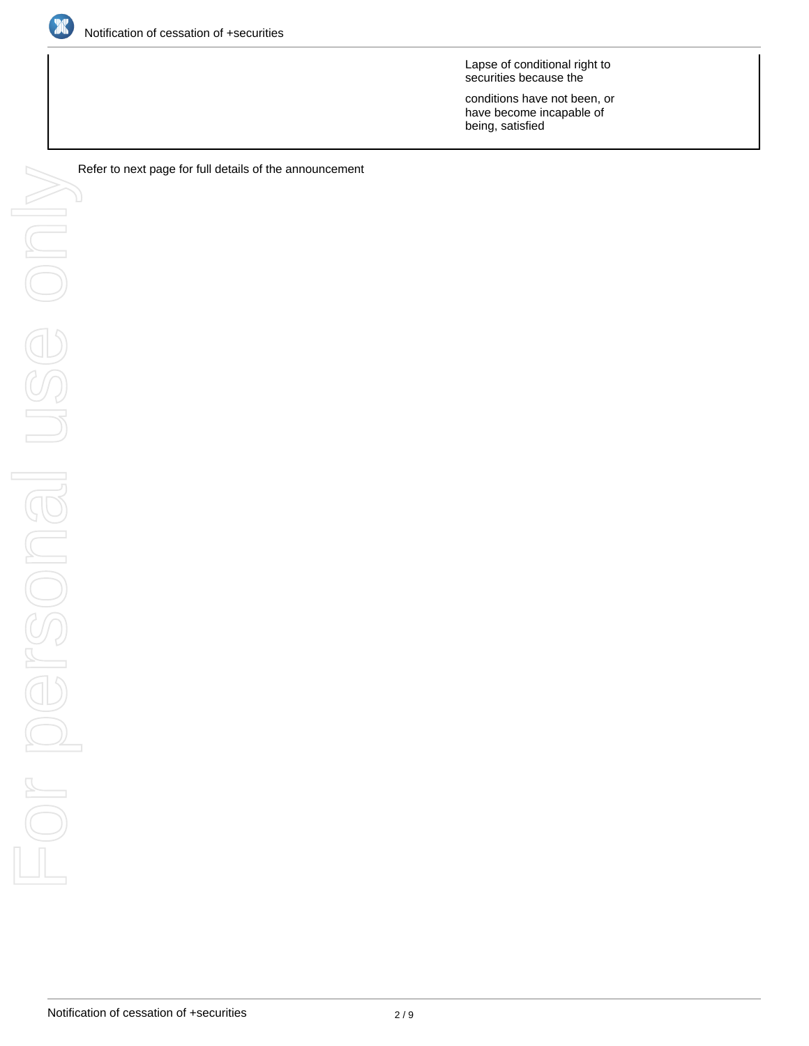

Lapse of conditional right to securities because the

conditions have not been, or have become incapable of being, satisfied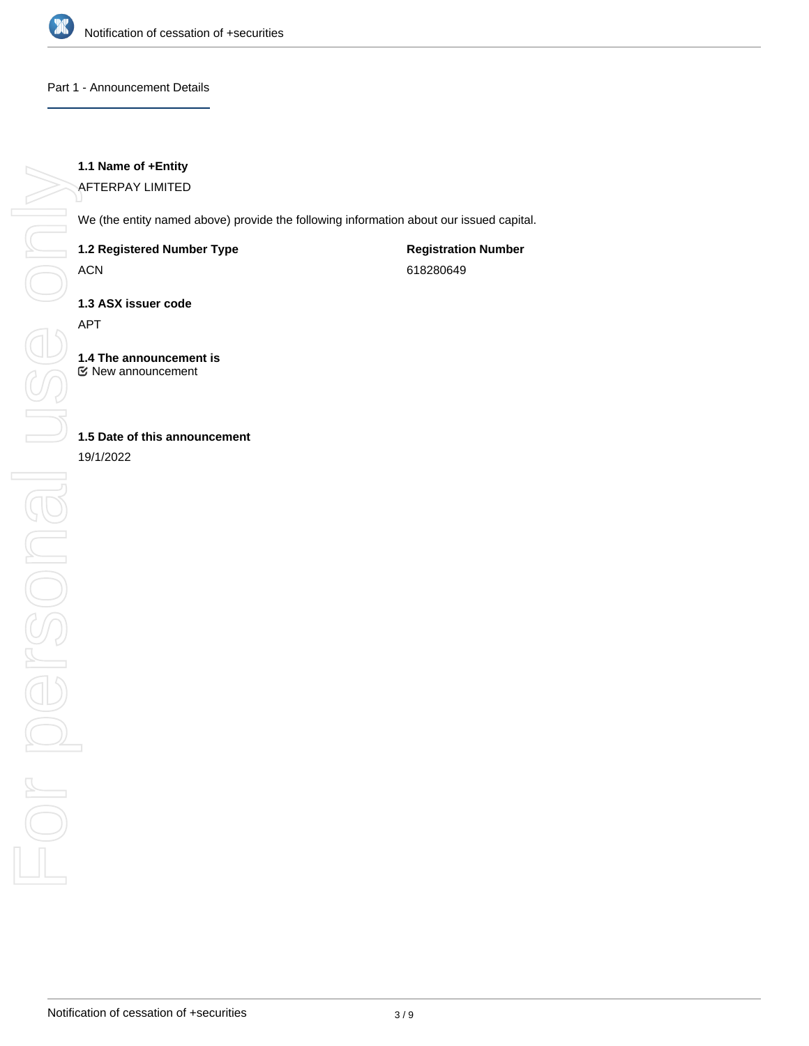

### Part 1 - Announcement Details

## **1.1 Name of +Entity**

AFTERPAY LIMITED

We (the entity named above) provide the following information about our issued capital.

### **1.2 Registered Number Type**

ACN

**Registration Number** 618280649

**1.3 ASX issuer code**

APT

**1.4 The announcement is** New announcement

# **1.5 Date of this announcement**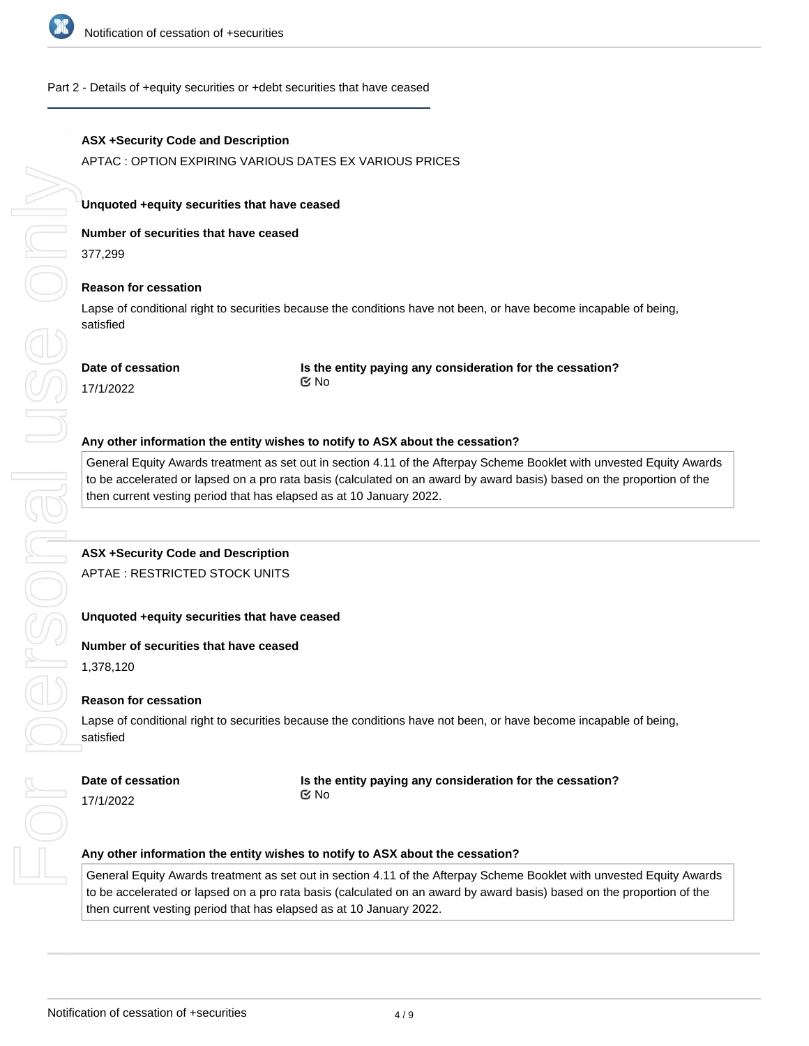

### Part 2 - Details of +equity securities or +debt securities that have ceased

### **ASX +Security Code and Description**

APTAC : OPTION EXPIRING VARIOUS DATES EX VARIOUS PRICES

### **Unquoted +equity securities that have ceased**

**Number of securities that have ceased**

377,299

#### **Reason for cessation**

Lapse of conditional right to securities because the conditions have not been, or have become incapable of being, satisfied

#### **Date of cessation**

**Is the entity paying any consideration for the cessation?** No

17/1/2022

#### **Any other information the entity wishes to notify to ASX about the cessation?**

General Equity Awards treatment as set out in section 4.11 of the Afterpay Scheme Booklet with unvested Equity Awards to be accelerated or lapsed on a pro rata basis (calculated on an award by award basis) based on the proportion of the then current vesting period that has elapsed as at 10 January 2022.

#### **ASX +Security Code and Description**

APTAE : RESTRICTED STOCK UNITS

#### **Unquoted +equity securities that have ceased**

### **Number of securities that have ceased**

1,378,120

#### **Reason for cessation**

Lapse of conditional right to securities because the conditions have not been, or have become incapable of being, satisfied

#### **Date of cessation**

#### **Is the entity paying any consideration for the cessation?**

17/1/2022

No

#### **Any other information the entity wishes to notify to ASX about the cessation?**

General Equity Awards treatment as set out in section 4.11 of the Afterpay Scheme Booklet with unvested Equity Awards to be accelerated or lapsed on a pro rata basis (calculated on an award by award basis) based on the proportion of the then current vesting period that has elapsed as at 10 January 2022.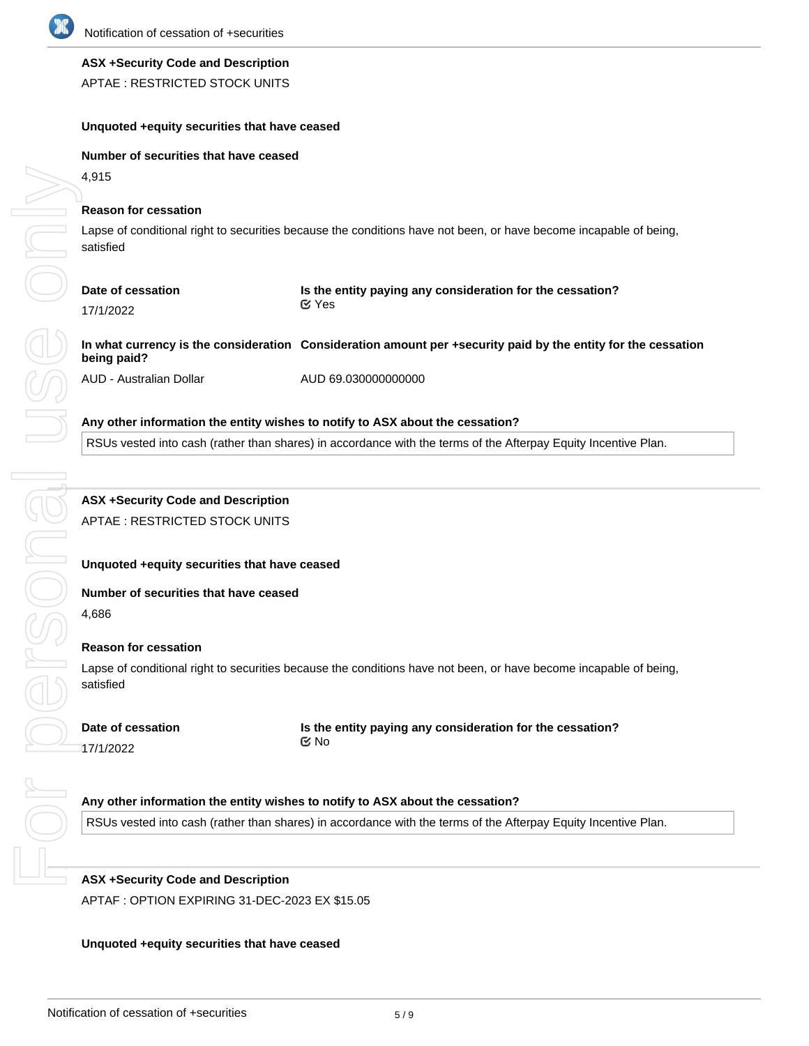

# **ASX +Security Code and Description**

APTAE : RESTRICTED STOCK UNITS

## **Unquoted +equity securities that have ceased**

### **Number of securities that have ceased**

4,915

### **Reason for cessation**

Lapse of conditional right to securities because the conditions have not been, or have become incapable of being, satisfied

| Date of cessation | Is the entity paying any consideration for the cessation? |  |
|-------------------|-----------------------------------------------------------|--|
| 17/1/2022         | ା Yes                                                     |  |

# **In what currency is the consideration Consideration amount per +security paid by the entity for the cessation being paid?**

AUD - Australian Dollar AUD 69.030000000000

### **Any other information the entity wishes to notify to ASX about the cessation?**

RSUs vested into cash (rather than shares) in accordance with the terms of the Afterpay Equity Incentive Plan.

# **ASX +Security Code and Description**

APTAE : RESTRICTED STOCK UNITS

### **Unquoted +equity securities that have ceased**

### **Number of securities that have ceased**

4,686

### **Reason for cessation**

Lapse of conditional right to securities because the conditions have not been, or have become incapable of being, satisfied

# **Date of cessation**

**Is the entity paying any consideration for the cessation?** No

17/1/2022

# **Any other information the entity wishes to notify to ASX about the cessation?**

RSUs vested into cash (rather than shares) in accordance with the terms of the Afterpay Equity Incentive Plan.

# **ASX +Security Code and Description**

APTAF : OPTION EXPIRING 31-DEC-2023 EX \$15.05

# **Unquoted +equity securities that have ceased**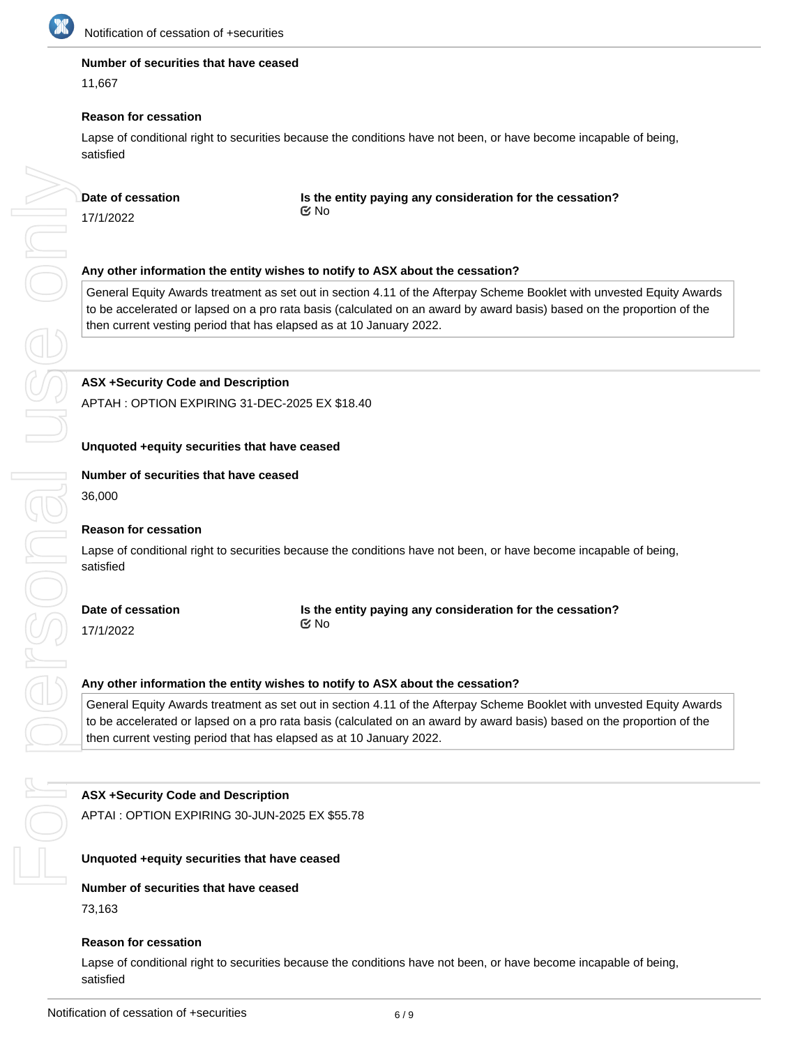

### **Number of securities that have ceased**

11,667

### **Reason for cessation**

Lapse of conditional right to securities because the conditions have not been, or have become incapable of being, satisfied

# **Date of cessation**

**Is the entity paying any consideration for the cessation?** No

17/1/2022

# **Any other information the entity wishes to notify to ASX about the cessation?**

General Equity Awards treatment as set out in section 4.11 of the Afterpay Scheme Booklet with unvested Equity Awards to be accelerated or lapsed on a pro rata basis (calculated on an award by award basis) based on the proportion of the then current vesting period that has elapsed as at 10 January 2022.

# **ASX +Security Code and Description**

APTAH : OPTION EXPIRING 31-DEC-2025 EX \$18.40

### **Unquoted +equity securities that have ceased**

### **Number of securities that have ceased**

36,000

## **Reason for cessation**

Lapse of conditional right to securities because the conditions have not been, or have become incapable of being, satisfied

**Date of cessation** 17/1/2022

**Is the entity paying any consideration for the cessation?** No

### **Any other information the entity wishes to notify to ASX about the cessation?**

General Equity Awards treatment as set out in section 4.11 of the Afterpay Scheme Booklet with unvested Equity Awards to be accelerated or lapsed on a pro rata basis (calculated on an award by award basis) based on the proportion of the then current vesting period that has elapsed as at 10 January 2022.

# **ASX +Security Code and Description**

APTAI : OPTION EXPIRING 30-JUN-2025 EX \$55.78

### **Unquoted +equity securities that have ceased**

### **Number of securities that have ceased**

73,163

### **Reason for cessation**

Lapse of conditional right to securities because the conditions have not been, or have become incapable of being, satisfied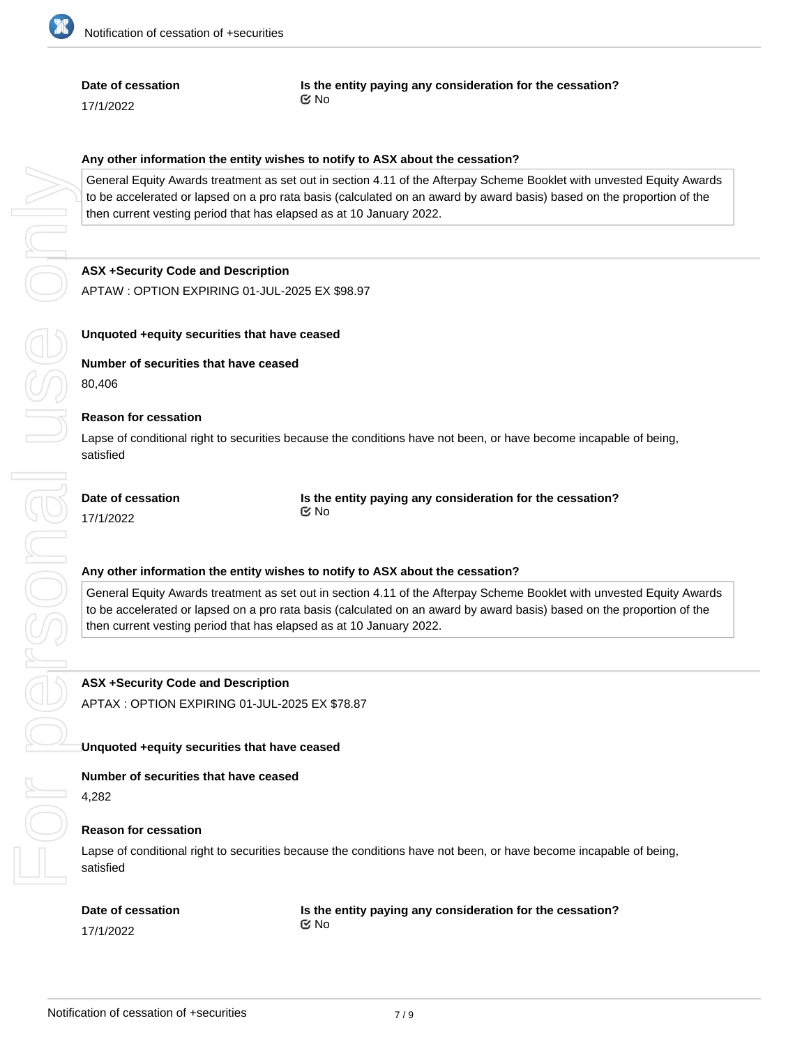

### **Date of cessation**

17/1/2022

**Is the entity paying any consideration for the cessation?** No

### **Any other information the entity wishes to notify to ASX about the cessation?**

General Equity Awards treatment as set out in section 4.11 of the Afterpay Scheme Booklet with unvested Equity Awards to be accelerated or lapsed on a pro rata basis (calculated on an award by award basis) based on the proportion of the then current vesting period that has elapsed as at 10 January 2022.

### **ASX +Security Code and Description**

APTAW : OPTION EXPIRING 01-JUL-2025 EX \$98.97

### **Unquoted +equity securities that have ceased**

**Number of securities that have ceased** 80,406

### **Reason for cessation**

Lapse of conditional right to securities because the conditions have not been, or have become incapable of being, satisfied

| Date of cessation | Is the entity paying any consideration for the cessation? |  |
|-------------------|-----------------------------------------------------------|--|
| 17/1/2022         | Mo No                                                     |  |

### **Any other information the entity wishes to notify to ASX about the cessation?**

General Equity Awards treatment as set out in section 4.11 of the Afterpay Scheme Booklet with unvested Equity Awards to be accelerated or lapsed on a pro rata basis (calculated on an award by award basis) based on the proportion of the then current vesting period that has elapsed as at 10 January 2022.

**ASX +Security Code and Description** APTAX : OPTION EXPIRING 01-JUL-2025 EX \$78.87

#### **Unquoted +equity securities that have ceased**

#### **Number of securities that have ceased**

4,282

### **Reason for cessation**

Lapse of conditional right to securities because the conditions have not been, or have become incapable of being, satisfied

#### **Date of cessation**

17/1/2022

**Is the entity paying any consideration for the cessation?** No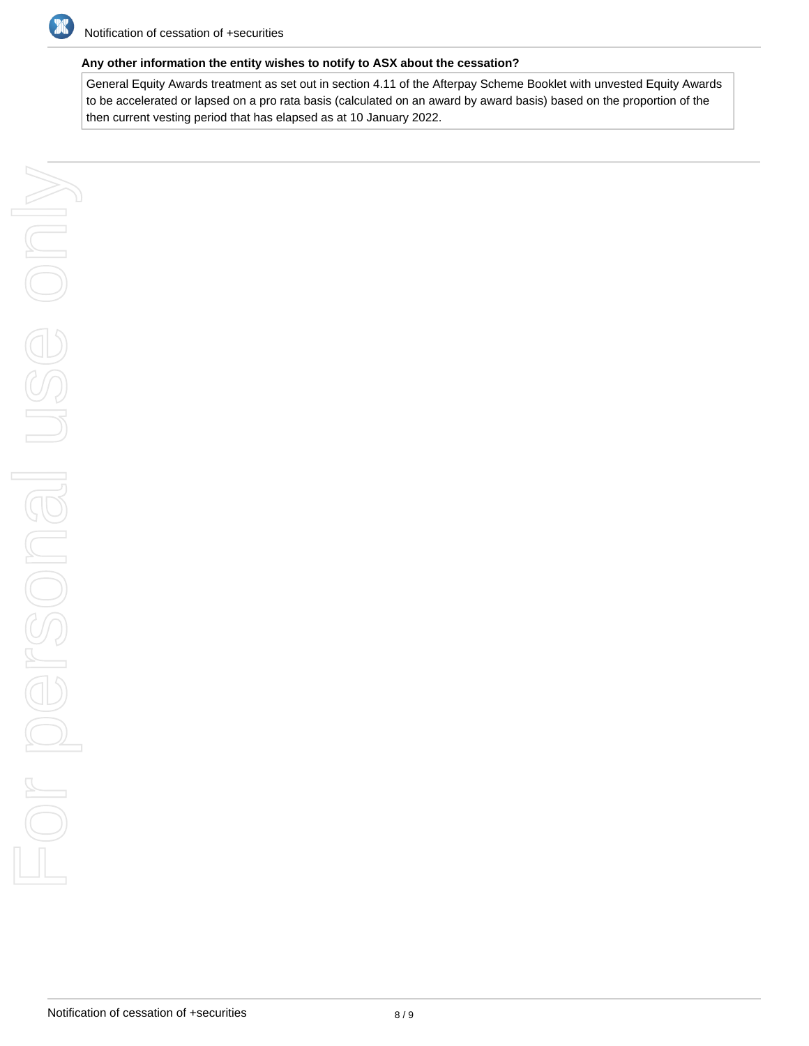

# **Any other information the entity wishes to notify to ASX about the cessation?**

General Equity Awards treatment as set out in section 4.11 of the Afterpay Scheme Booklet with unvested Equity Awards to be accelerated or lapsed on a pro rata basis (calculated on an award by award basis) based on the proportion of the then current vesting period that has elapsed as at 10 January 2022.